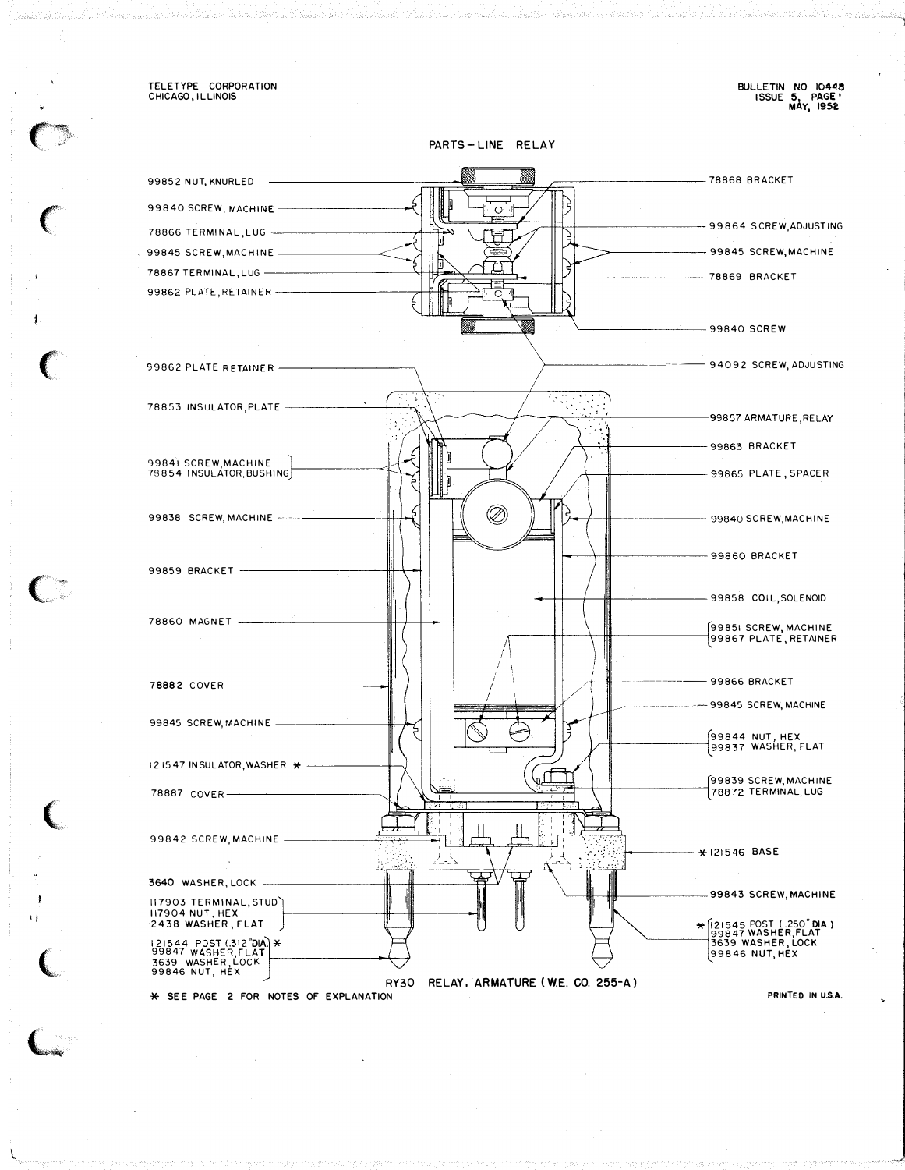TELETYPE CORPORATION<br>CHICAGO, ILLINOIS

BULLETIN NO 10448<br>ISSUE 5, PAGE'<br>MAY, 1952

PARTS-LINE RELAY